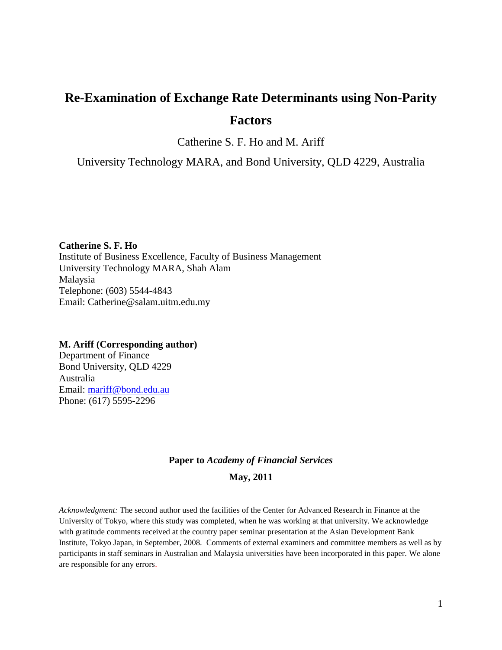# **Re-Examination of Exchange Rate Determinants using Non-Parity Factors**

Catherine S. F. Ho and M. Ariff

University Technology MARA, and Bond University, QLD 4229, Australia

**Catherine S. F. Ho** Institute of Business Excellence, Faculty of Business Management University Technology MARA, Shah Alam Malaysia Telephone: (603) 5544-4843 Email: Catherine@salam.uitm.edu.my

#### **M. Ariff (Corresponding author)**

Department of Finance Bond University, QLD 4229 Australia Email: [mariff@bond.edu.au](mailto:mariff@bond.edu.au) Phone: (617) 5595-2296

# **Paper to** *Academy of Financial Services*

#### **May, 2011**

*Acknowledgment:* The second author used the facilities of the Center for Advanced Research in Finance at the University of Tokyo, where this study was completed, when he was working at that university. We acknowledge with gratitude comments received at the country paper seminar presentation at the Asian Development Bank Institute, Tokyo Japan, in September, 2008. Comments of external examiners and committee members as well as by participants in staff seminars in Australian and Malaysia universities have been incorporated in this paper. We alone are responsible for any errors.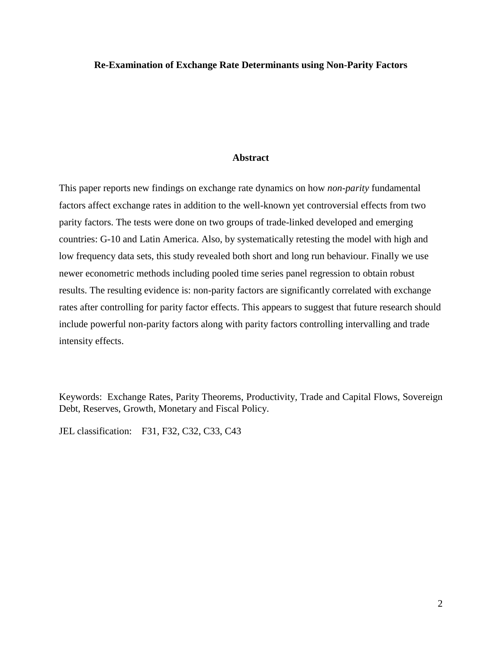#### **Re-Examination of Exchange Rate Determinants using Non-Parity Factors**

#### **Abstract**

This paper reports new findings on exchange rate dynamics on how *non-parity* fundamental factors affect exchange rates in addition to the well-known yet controversial effects from two parity factors. The tests were done on two groups of trade-linked developed and emerging countries: G-10 and Latin America. Also, by systematically retesting the model with high and low frequency data sets, this study revealed both short and long run behaviour. Finally we use newer econometric methods including pooled time series panel regression to obtain robust results. The resulting evidence is: non-parity factors are significantly correlated with exchange rates after controlling for parity factor effects. This appears to suggest that future research should include powerful non-parity factors along with parity factors controlling intervalling and trade intensity effects.

Keywords: Exchange Rates, Parity Theorems, Productivity, Trade and Capital Flows, Sovereign Debt, Reserves, Growth, Monetary and Fiscal Policy.

JEL classification: F31, F32, C32, C33, C43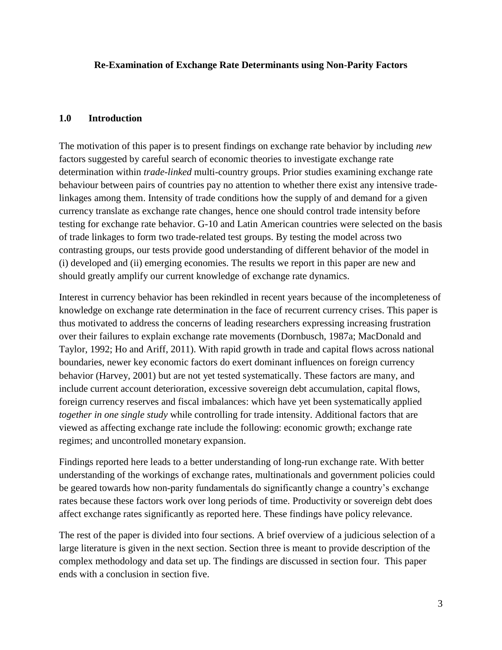## **Re-Examination of Exchange Rate Determinants using Non-Parity Factors**

## **1.0 Introduction**

The motivation of this paper is to present findings on exchange rate behavior by including *new* factors suggested by careful search of economic theories to investigate exchange rate determination within *trade-linked* multi-country groups. Prior studies examining exchange rate behaviour between pairs of countries pay no attention to whether there exist any intensive tradelinkages among them. Intensity of trade conditions how the supply of and demand for a given currency translate as exchange rate changes, hence one should control trade intensity before testing for exchange rate behavior. G-10 and Latin American countries were selected on the basis of trade linkages to form two trade-related test groups. By testing the model across two contrasting groups, our tests provide good understanding of different behavior of the model in (i) developed and (ii) emerging economies. The results we report in this paper are new and should greatly amplify our current knowledge of exchange rate dynamics.

Interest in currency behavior has been rekindled in recent years because of the incompleteness of knowledge on exchange rate determination in the face of recurrent currency crises. This paper is thus motivated to address the concerns of leading researchers expressing increasing frustration over their failures to explain exchange rate movements (Dornbusch, 1987a; MacDonald and Taylor, 1992; Ho and Ariff, 2011). With rapid growth in trade and capital flows across national boundaries, newer key economic factors do exert dominant influences on foreign currency behavior (Harvey, 2001) but are not yet tested systematically. These factors are many, and include current account deterioration, excessive sovereign debt accumulation, capital flows, foreign currency reserves and fiscal imbalances: which have yet been systematically applied *together in one single study* while controlling for trade intensity. Additional factors that are viewed as affecting exchange rate include the following: economic growth; exchange rate regimes; and uncontrolled monetary expansion.

Findings reported here leads to a better understanding of long-run exchange rate. With better understanding of the workings of exchange rates, multinationals and government policies could be geared towards how non-parity fundamentals do significantly change a country's exchange rates because these factors work over long periods of time. Productivity or sovereign debt does affect exchange rates significantly as reported here. These findings have policy relevance.

The rest of the paper is divided into four sections. A brief overview of a judicious selection of a large literature is given in the next section. Section three is meant to provide description of the complex methodology and data set up. The findings are discussed in section four. This paper ends with a conclusion in section five.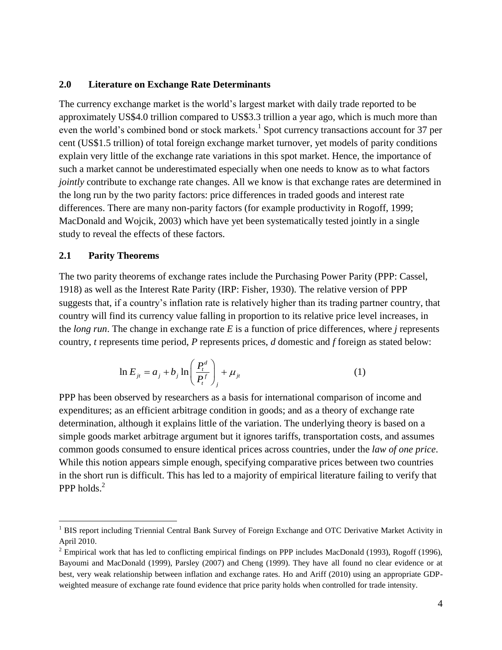## **2.0 Literature on Exchange Rate Determinants**

The currency exchange market is the world's largest market with daily trade reported to be approximately US\$4.0 trillion compared to US\$3.3 trillion a year ago, which is much more than even the world's combined bond or stock markets.<sup>1</sup> Spot currency transactions account for 37 per cent (US\$1.5 trillion) of total foreign exchange market turnover, yet models of parity conditions explain very little of the exchange rate variations in this spot market. Hence, the importance of such a market cannot be underestimated especially when one needs to know as to what factors *jointly* contribute to exchange rate changes. All we know is that exchange rates are determined in the long run by the two parity factors: price differences in traded goods and interest rate differences. There are many non-parity factors (for example productivity in Rogoff, 1999; MacDonald and Wojcik, 2003) which have yet been systematically tested jointly in a single study to reveal the effects of these factors.

## **2.1 Parity Theorems**

 $\overline{a}$ 

The two parity theorems of exchange rates include the Purchasing Power Parity (PPP: Cassel, 1918) as well as the Interest Rate Parity (IRP: Fisher, 1930). The relative version of PPP suggests that, if a country's inflation rate is relatively higher than its trading partner country, that country will find its currency value falling in proportion to its relative price level increases, in the *long run*. The change in exchange rate *E* is a function of price differences, where *j* represents country, *t* represents time period, *P* represents prices, *d* domestic and *f* foreign as stated below:

$$
\ln E_{jt} = a_j + b_j \ln \left( \frac{P_t^d}{P_t^f} \right)_j + \mu_{jt}
$$
 (1)

PPP has been observed by researchers as a basis for international comparison of income and expenditures; as an efficient arbitrage condition in goods; and as a theory of exchange rate determination, although it explains little of the variation. The underlying theory is based on a simple goods market arbitrage argument but it ignores tariffs, transportation costs, and assumes common goods consumed to ensure identical prices across countries, under the *law of one price*. While this notion appears simple enough, specifying comparative prices between two countries in the short run is difficult. This has led to a majority of empirical literature failing to verify that PPP holds.<sup>2</sup>

<sup>&</sup>lt;sup>1</sup> BIS report including Triennial Central Bank Survey of Foreign Exchange and OTC Derivative Market Activity in April 2010.

 $2$  Empirical work that has led to conflicting empirical findings on PPP includes MacDonald (1993), Rogoff (1996), Bayoumi and MacDonald (1999), Parsley (2007) and Cheng (1999). They have all found no clear evidence or at best, very weak relationship between inflation and exchange rates. Ho and Ariff (2010) using an appropriate GDPweighted measure of exchange rate found evidence that price parity holds when controlled for trade intensity.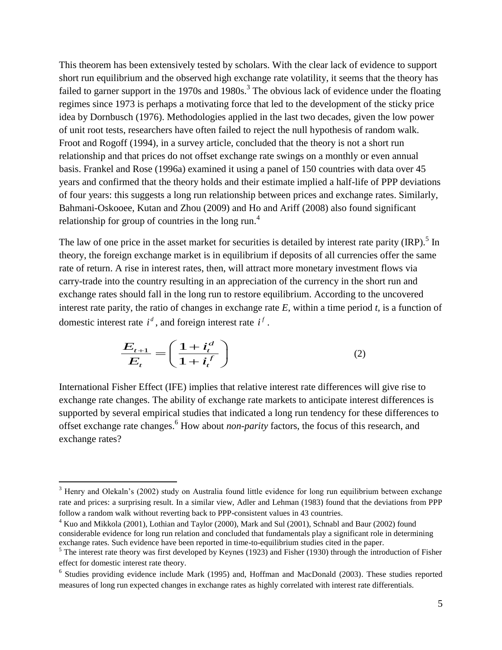This theorem has been extensively tested by scholars. With the clear lack of evidence to support short run equilibrium and the observed high exchange rate volatility, it seems that the theory has failed to garner support in the 1970s and 1980s.<sup>3</sup> The obvious lack of evidence under the floating regimes since 1973 is perhaps a motivating force that led to the development of the sticky price idea by Dornbusch (1976). Methodologies applied in the last two decades, given the low power of unit root tests, researchers have often failed to reject the null hypothesis of random walk. Froot and Rogoff (1994), in a survey article, concluded that the theory is not a short run relationship and that prices do not offset exchange rate swings on a monthly or even annual basis. Frankel and Rose (1996a) examined it using a panel of 150 countries with data over 45 years and confirmed that the theory holds and their estimate implied a half-life of PPP deviations of four years: this suggests a long run relationship between prices and exchange rates. Similarly, Bahmani-Oskooee, Kutan and Zhou (2009) and Ho and Ariff (2008) also found significant relationship for group of countries in the long run.<sup>4</sup>

The law of one price in the asset market for securities is detailed by interest rate parity (IRP).<sup>5</sup> In theory, the foreign exchange market is in equilibrium if deposits of all currencies offer the same rate of return. A rise in interest rates, then, will attract more monetary investment flows via carry-trade into the country resulting in an appreciation of the currency in the short run and exchange rates should fall in the long run to restore equilibrium. According to the uncovered interest rate parity, the ratio of changes in exchange rate  $E$ , within a time period  $t$ , is a function of domestic interest rate  $i^d$ , and foreign interest rate  $i^f$ .

$$
\frac{E_{t+1}}{E_t} = \left(\frac{1+i_t^d}{1+i_t^f}\right) \tag{2}
$$

International Fisher Effect (IFE) implies that relative interest rate differences will give rise to exchange rate changes. The ability of exchange rate markets to anticipate interest differences is supported by several empirical studies that indicated a long run tendency for these differences to offset exchange rate changes. <sup>6</sup> How about *non-parity* factors, the focus of this research, and exchange rates?

 $\overline{a}$ 

<sup>&</sup>lt;sup>3</sup> Henry and Olekaln's (2002) study on Australia found little evidence for long run equilibrium between exchange rate and prices: a surprising result. In a similar view, Adler and Lehman (1983) found that the deviations from PPP follow a random walk without reverting back to PPP-consistent values in 43 countries.

<sup>4</sup> Kuo and Mikkola (2001), Lothian and Taylor (2000), Mark and Sul (2001), Schnabl and Baur (2002) found considerable evidence for long run relation and concluded that fundamentals play a significant role in determining exchange rates. Such evidence have been reported in time-to-equilibrium studies cited in the paper.

 $<sup>5</sup>$  The interest rate theory was first developed by Keynes (1923) and Fisher (1930) through the introduction of Fisher</sup> effect for domestic interest rate theory.

<sup>&</sup>lt;sup>6</sup> Studies providing evidence include Mark (1995) and, Hoffman and MacDonald (2003). These studies reported measures of long run expected changes in exchange rates as highly correlated with interest rate differentials.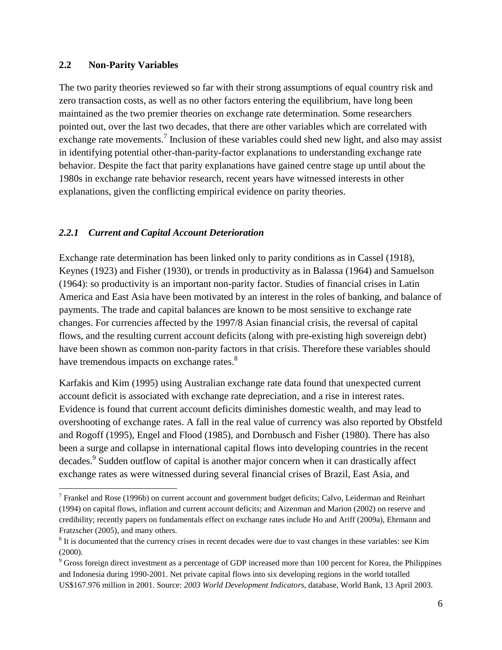## **2.2 Non-Parity Variables**

 $\overline{a}$ 

The two parity theories reviewed so far with their strong assumptions of equal country risk and zero transaction costs, as well as no other factors entering the equilibrium, have long been maintained as the two premier theories on exchange rate determination. Some researchers pointed out, over the last two decades, that there are other variables which are correlated with exchange rate movements.<sup>7</sup> Inclusion of these variables could shed new light, and also may assist in identifying potential other-than-parity-factor explanations to understanding exchange rate behavior. Despite the fact that parity explanations have gained centre stage up until about the 1980s in exchange rate behavior research, recent years have witnessed interests in other explanations, given the conflicting empirical evidence on parity theories.

## *2.2.1 Current and Capital Account Deterioration*

Exchange rate determination has been linked only to parity conditions as in Cassel (1918), Keynes (1923) and Fisher (1930), or trends in productivity as in Balassa (1964) and Samuelson (1964): so productivity is an important non-parity factor. Studies of financial crises in Latin America and East Asia have been motivated by an interest in the roles of banking, and balance of payments. The trade and capital balances are known to be most sensitive to exchange rate changes. For currencies affected by the 1997/8 Asian financial crisis, the reversal of capital flows, and the resulting current account deficits (along with pre-existing high sovereign debt) have been shown as common non-parity factors in that crisis. Therefore these variables should have tremendous impacts on exchange rates.<sup>8</sup>

Karfakis and Kim (1995) using Australian exchange rate data found that unexpected current account deficit is associated with exchange rate depreciation, and a rise in interest rates. Evidence is found that current account deficits diminishes domestic wealth, and may lead to overshooting of exchange rates. A fall in the real value of currency was also reported by Obstfeld and Rogoff (1995), Engel and Flood (1985), and Dornbusch and Fisher (1980). There has also been a surge and collapse in international capital flows into developing countries in the recent decades.<sup>9</sup> Sudden outflow of capital is another major concern when it can drastically affect exchange rates as were witnessed during several financial crises of Brazil, East Asia, and

<sup>&</sup>lt;sup>7</sup> Frankel and Rose (1996b) on current account and government budget deficits; Calvo, Leiderman and Reinhart (1994) on capital flows, inflation and current account deficits; and Aizenman and Marion (2002) on reserve and credibility; recently papers on fundamentals effect on exchange rates include Ho and Ariff (2009a), Ehrmann and Fratzscher (2005), and many others.

 $8$  It is documented that the currency crises in recent decades were due to vast changes in these variables: see Kim (2000).

<sup>&</sup>lt;sup>9</sup> Gross foreign direct investment as a percentage of GDP increased more than 100 percent for Korea, the Philippines and Indonesia during 1990-2001. Net private capital flows into six developing regions in the world totalled US\$167.976 million in 2001. Source: *2003 World Development Indicators*, database, World Bank, 13 April 2003.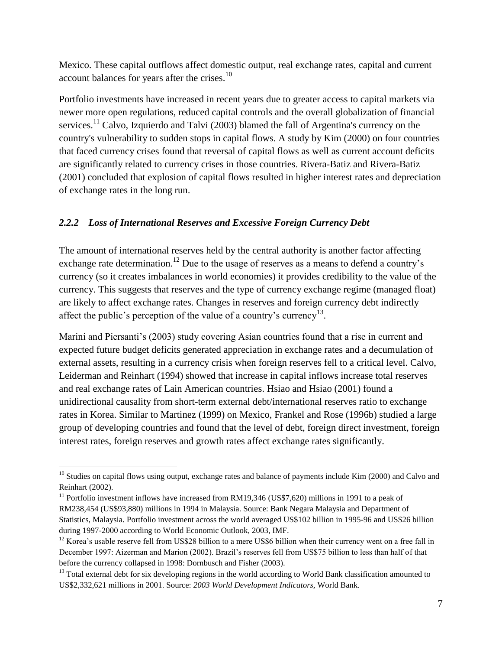Mexico. These capital outflows affect domestic output, real exchange rates, capital and current account balances for years after the crises.<sup>10</sup>

Portfolio investments have increased in recent years due to greater access to capital markets via newer more open regulations, reduced capital controls and the overall globalization of financial services.<sup>11</sup> Calvo, Izquierdo and Talvi (2003) blamed the fall of Argentina's currency on the country's vulnerability to sudden stops in capital flows. A study by Kim (2000) on four countries that faced currency crises found that reversal of capital flows as well as current account deficits are significantly related to currency crises in those countries. Rivera-Batiz and Rivera-Batiz (2001) concluded that explosion of capital flows resulted in higher interest rates and depreciation of exchange rates in the long run.

# *2.2.2 Loss of International Reserves and Excessive Foreign Currency Debt*

The amount of international reserves held by the central authority is another factor affecting exchange rate determination.<sup>12</sup> Due to the usage of reserves as a means to defend a country's currency (so it creates imbalances in world economies) it provides credibility to the value of the currency. This suggests that reserves and the type of currency exchange regime (managed float) are likely to affect exchange rates. Changes in reserves and foreign currency debt indirectly affect the public's perception of the value of a country's currency<sup>13</sup>.

Marini and Piersanti's (2003) study covering Asian countries found that a rise in current and expected future budget deficits generated appreciation in exchange rates and a decumulation of external assets, resulting in a currency crisis when foreign reserves fell to a critical level. Calvo, Leiderman and Reinhart (1994) showed that increase in capital inflows increase total reserves and real exchange rates of Lain American countries. Hsiao and Hsiao (2001) found a unidirectional causality from short-term external debt/international reserves ratio to exchange rates in Korea. Similar to Martinez (1999) on Mexico, Frankel and Rose (1996b) studied a large group of developing countries and found that the level of debt, foreign direct investment, foreign interest rates, foreign reserves and growth rates affect exchange rates significantly.

 $\overline{a}$  $10$  Studies on capital flows using output, exchange rates and balance of payments include Kim (2000) and Calvo and Reinhart (2002).

<sup>&</sup>lt;sup>11</sup> Portfolio investment inflows have increased from RM19,346 (US\$7,620) millions in 1991 to a peak of RM238,454 (US\$93,880) millions in 1994 in Malaysia. Source: Bank Negara Malaysia and Department of Statistics, Malaysia. Portfolio investment across the world averaged US\$102 billion in 1995-96 and US\$26 billion during 1997-2000 according to World Economic Outlook, 2003, IMF.

<sup>&</sup>lt;sup>12</sup> Korea's usable reserve fell from US\$28 billion to a mere US\$6 billion when their currency went on a free fall in December 1997: Aizerman and Marion (2002). Brazil's reserves fell from US\$75 billion to less than half of that before the currency collapsed in 1998: Dornbusch and Fisher (2003).

<sup>&</sup>lt;sup>13</sup> Total external debt for six developing regions in the world according to World Bank classification amounted to US\$2,332,621 millions in 2001. Source: *2003 World Development Indicators*, World Bank.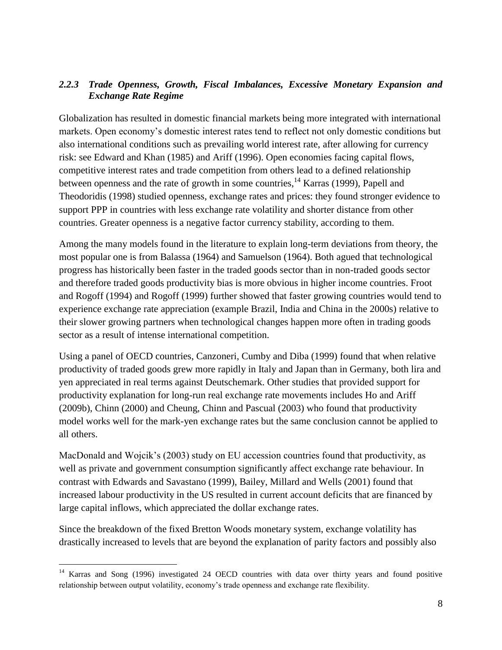# *2.2.3 Trade Openness, Growth, Fiscal Imbalances, Excessive Monetary Expansion and Exchange Rate Regime*

Globalization has resulted in domestic financial markets being more integrated with international markets. Open economy's domestic interest rates tend to reflect not only domestic conditions but also international conditions such as prevailing world interest rate, after allowing for currency risk: see Edward and Khan (1985) and Ariff (1996). Open economies facing capital flows, competitive interest rates and trade competition from others lead to a defined relationship between openness and the rate of growth in some countries, <sup>14</sup> Karras (1999), Papell and Theodoridis (1998) studied openness, exchange rates and prices: they found stronger evidence to support PPP in countries with less exchange rate volatility and shorter distance from other countries. Greater openness is a negative factor currency stability, according to them.

Among the many models found in the literature to explain long-term deviations from theory, the most popular one is from Balassa (1964) and Samuelson (1964). Both agued that technological progress has historically been faster in the traded goods sector than in non-traded goods sector and therefore traded goods productivity bias is more obvious in higher income countries. Froot and Rogoff (1994) and Rogoff (1999) further showed that faster growing countries would tend to experience exchange rate appreciation (example Brazil, India and China in the 2000s) relative to their slower growing partners when technological changes happen more often in trading goods sector as a result of intense international competition.

Using a panel of OECD countries, Canzoneri, Cumby and Diba (1999) found that when relative productivity of traded goods grew more rapidly in Italy and Japan than in Germany, both lira and yen appreciated in real terms against Deutschemark. Other studies that provided support for productivity explanation for long-run real exchange rate movements includes Ho and Ariff (2009b), Chinn (2000) and Cheung, Chinn and Pascual (2003) who found that productivity model works well for the mark-yen exchange rates but the same conclusion cannot be applied to all others.

MacDonald and Wojcik's (2003) study on EU accession countries found that productivity, as well as private and government consumption significantly affect exchange rate behaviour. In contrast with Edwards and Savastano (1999), Bailey, Millard and Wells (2001) found that increased labour productivity in the US resulted in current account deficits that are financed by large capital inflows, which appreciated the dollar exchange rates.

Since the breakdown of the fixed Bretton Woods monetary system, exchange volatility has drastically increased to levels that are beyond the explanation of parity factors and possibly also

 $\overline{a}$ 

<sup>&</sup>lt;sup>14</sup> Karras and Song (1996) investigated 24 OECD countries with data over thirty years and found positive relationship between output volatility, economy's trade openness and exchange rate flexibility.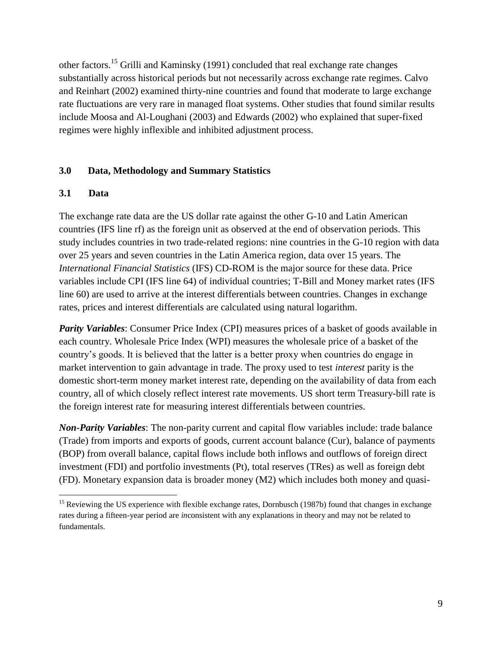other factors.<sup>15</sup> Grilli and Kaminsky (1991) concluded that real exchange rate changes substantially across historical periods but not necessarily across exchange rate regimes. Calvo and Reinhart (2002) examined thirty-nine countries and found that moderate to large exchange rate fluctuations are very rare in managed float systems. Other studies that found similar results include Moosa and Al-Loughani (2003) and Edwards (2002) who explained that super-fixed regimes were highly inflexible and inhibited adjustment process.

## **3.0 Data, Methodology and Summary Statistics**

## **3.1 Data**

 $\overline{a}$ 

The exchange rate data are the US dollar rate against the other G-10 and Latin American countries (IFS line rf) as the foreign unit as observed at the end of observation periods. This study includes countries in two trade-related regions: nine countries in the G-10 region with data over 25 years and seven countries in the Latin America region, data over 15 years. The *International Financial Statistics* (IFS) CD-ROM is the major source for these data. Price variables include CPI (IFS line 64) of individual countries; T-Bill and Money market rates (IFS line 60) are used to arrive at the interest differentials between countries. Changes in exchange rates, prices and interest differentials are calculated using natural logarithm.

*Parity Variables*: Consumer Price Index (CPI) measures prices of a basket of goods available in each country. Wholesale Price Index (WPI) measures the wholesale price of a basket of the country's goods. It is believed that the latter is a better proxy when countries do engage in market intervention to gain advantage in trade. The proxy used to test *interest* parity is the domestic short-term money market interest rate, depending on the availability of data from each country, all of which closely reflect interest rate movements. US short term Treasury-bill rate is the foreign interest rate for measuring interest differentials between countries.

*Non-Parity Variables*: The non-parity current and capital flow variables include: trade balance (Trade) from imports and exports of goods, current account balance (Cur), balance of payments (BOP) from overall balance, capital flows include both inflows and outflows of foreign direct investment (FDI) and portfolio investments (Pt), total reserves (TRes) as well as foreign debt (FD). Monetary expansion data is broader money (M2) which includes both money and quasi-

<sup>&</sup>lt;sup>15</sup> Reviewing the US experience with flexible exchange rates, Dornbusch (1987b) found that changes in exchange rates during a fifteen-year period are *in*consistent with any explanations in theory and may not be related to fundamentals.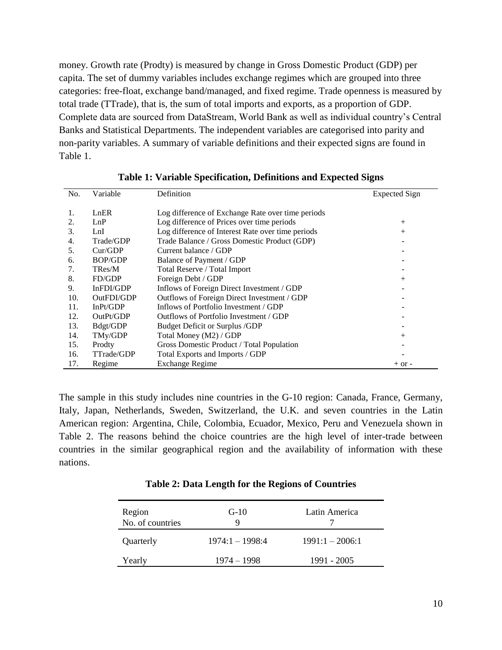money. Growth rate (Prodty) is measured by change in Gross Domestic Product (GDP) per capita. The set of dummy variables includes exchange regimes which are grouped into three categories: free-float, exchange band/managed, and fixed regime. Trade openness is measured by total trade (TTrade), that is, the sum of total imports and exports, as a proportion of GDP. Complete data are sourced from DataStream, World Bank as well as individual country's Central Banks and Statistical Departments. The independent variables are categorised into parity and non-parity variables. A summary of variable definitions and their expected signs are found in Table 1.

| No. | Variable       | Definition                                        | Expected Sign |
|-----|----------------|---------------------------------------------------|---------------|
|     | LnER           |                                                   |               |
|     |                | Log difference of Exchange Rate over time periods |               |
| 2.  | LnP            | Log difference of Prices over time periods        | $^{+}$        |
| 3.  | LnI            | Log difference of Interest Rate over time periods | $^{+}$        |
| 4.  | Trade/GDP      | Trade Balance / Gross Domestic Product (GDP)      |               |
| 5.  | Cur/GDP        | Current balance / GDP                             |               |
| 6.  | <b>BOP/GDP</b> | Balance of Payment / GDP                          |               |
| 7.  | TRes/M         | Total Reserve / Total Import                      |               |
| 8.  | FD/GDP         | Foreign Debt / GDP                                | $^+$          |
| 9.  | InFDI/GDP      | Inflows of Foreign Direct Investment / GDP        |               |
| 10. | OutFDI/GDP     | Outflows of Foreign Direct Investment / GDP       |               |
| 11. | InPt/GDP       | Inflows of Portfolio Investment / GDP             |               |
| 12. | OutPt/GDP      | Outflows of Portfolio Investment / GDP            |               |
| 13. | Bdgt/GDP       | <b>Budget Deficit or Surplus /GDP</b>             |               |
| 14. | TMy/GDP        | Total Money (M2) / GDP                            | $^+$          |
| 15. | Prodty         | Gross Domestic Product / Total Population         |               |
| 16. | TTrade/GDP     | Total Exports and Imports / GDP                   |               |
| 17. | Regime         | <b>Exchange Regime</b>                            | $+$ or $-$    |

## **Table 1: Variable Specification, Definitions and Expected Signs**

The sample in this study includes nine countries in the G-10 region: Canada, France, Germany, Italy, Japan, Netherlands, Sweden, Switzerland, the U.K. and seven countries in the Latin American region: Argentina, Chile, Colombia, Ecuador, Mexico, Peru and Venezuela shown in Table 2. The reasons behind the choice countries are the high level of inter-trade between countries in the similar geographical region and the availability of information with these nations.

| Region<br>No. of countries | $G-10$<br>Q       | Latin America     |
|----------------------------|-------------------|-------------------|
| Quarterly                  | $1974:1 - 1998:4$ | $1991:1 - 2006:1$ |
| Yearly                     | 1974 – 1998       | 1991 - 2005       |

#### **Table 2: Data Length for the Regions of Countries**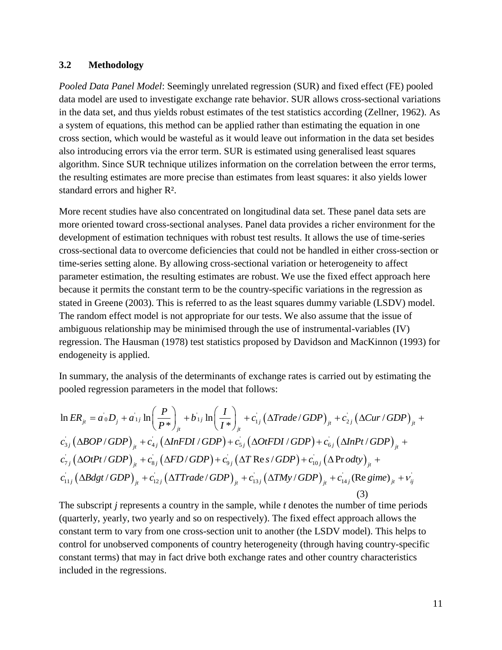## **3.2 Methodology**

*Pooled Data Panel Model*: Seemingly unrelated regression (SUR) and fixed effect (FE) pooled data model are used to investigate exchange rate behavior. SUR allows cross-sectional variations in the data set, and thus yields robust estimates of the test statistics according (Zellner, 1962). As a system of equations, this method can be applied rather than estimating the equation in one cross section, which would be wasteful as it would leave out information in the data set besides also introducing errors via the error term. SUR is estimated using generalised least squares algorithm. Since SUR technique utilizes information on the correlation between the error terms, the resulting estimates are more precise than estimates from least squares: it also yields lower standard errors and higher R².

More recent studies have also concentrated on longitudinal data set. These panel data sets are more oriented toward cross-sectional analyses. Panel data provides a richer environment for the development of estimation techniques with robust test results. It allows the use of time-series cross-sectional data to overcome deficiencies that could not be handled in either cross-section or time-series setting alone. By allowing cross-sectional variation or heterogeneity to affect parameter estimation, the resulting estimates are robust. We use the fixed effect approach here because it permits the constant term to be the country-specific variations in the regression as stated in Greene (2003). This is referred to as the least squares dummy variable (LSDV) model. The random effect model is not appropriate for our tests. We also assume that the issue of ambiguous relationship may be minimised through the use of instrumental-variables (IV) regression. The Hausman (1978) test statistics proposed by Davidson and MacKinnon (1993) for endogeneity is applied.

In summary, the analysis of the determinants of exchange rates is carried out by estimating the  
\npooled regression parameters in the model that follows:  
\n
$$
\ln ER_{ji} = a_0D_j + a_{1j}\ln\left(\frac{P}{P^*}\right)_{ji} + b_{1j}\ln\left(\frac{I}{I^*}\right)_{ji} + c_{1j}\left(\Delta Trade/GDP\right)_{ji} + c_{2j}\left(\Delta Cur/GDP\right)_{ji} + c_{3j}\left(\Delta BOP/GDP\right)_{ji} + c_{4j}\left(\Delta InFDI/GDP\right) + c_{5j}\left(\Delta OtFDI/GDP\right) + c_{6j}\left(\Delta InPt/GDP\right)_{ji} + c_{7j}\left(\Delta OtPt/GDP\right)_{ji} + c_{8j}\left(\Delta FD/GDP\right) + c_{9j}\left(\Delta T Res/GDP\right) + c_{10j}\left(\Delta Prody\right)_{ji} + c_{11j}\left(\Delta Bdgt/GDP\right)_{ji} + c_{12j}\left(\Delta T Trade/GDP\right)_{ji} + c_{13j}\left(\Delta TMy/GDP\right)_{ji} + c_{14j}\left(\text{Re gime}\right)_{ji} + v_{ij} \tag{3}
$$

The subscript *j* represents a country in the sample, while *t* denotes the number of time periods (quarterly, yearly, two yearly and so on respectively). The fixed effect approach allows the constant term to vary from one cross-section unit to another (the LSDV model). This helps to control for unobserved components of country heterogeneity (through having country-specific constant terms) that may in fact drive both exchange rates and other country characteristics included in the regressions.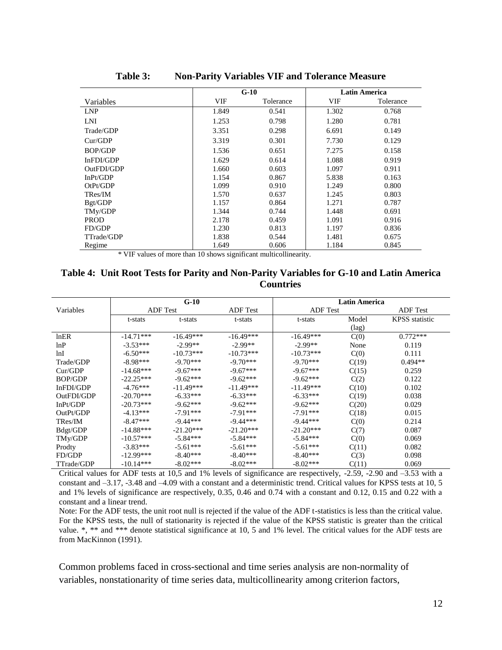|                |       | $G-10$    | <b>Latin America</b> |           |  |
|----------------|-------|-----------|----------------------|-----------|--|
| Variables      | VIF   | Tolerance | VIF                  | Tolerance |  |
| <b>LNP</b>     | 1.849 | 0.541     | 1.302                | 0.768     |  |
| LNI            | 1.253 | 0.798     | 1.280                | 0.781     |  |
| Trade/GDP      | 3.351 | 0.298     | 6.691                | 0.149     |  |
| Cur/GDP        | 3.319 | 0.301     | 7.730                | 0.129     |  |
| <b>BOP/GDP</b> | 1.536 | 0.651     | 7.275                | 0.158     |  |
| InFDI/GDP      | 1.629 | 0.614     | 1.088                | 0.919     |  |
| OutFDI/GDP     | 1.660 | 0.603     | 1.097                | 0.911     |  |
| InPt/GDP       | 1.154 | 0.867     | 5.838                | 0.163     |  |
| OtPt/GDP       | 1.099 | 0.910     | 1.249                | 0.800     |  |
| TRes/IM        | 1.570 | 0.637     | 1.245                | 0.803     |  |
| Bgt/GDP        | 1.157 | 0.864     | 1.271                | 0.787     |  |
| TMy/GDP        | 1.344 | 0.744     | 1.448                | 0.691     |  |
| <b>PROD</b>    | 2.178 | 0.459     | 1.091                | 0.916     |  |
| FD/GDP         | 1.230 | 0.813     | 1.197                | 0.836     |  |
| TTrade/GDP     | 1.838 | 0.544     | 1.481                | 0.675     |  |
| Regime         | 1.649 | 0.606     | 1.184                | 0.845     |  |

**Table 3: Non-Parity Variables VIF and Tolerance Measure**

\* VIF values of more than 10 shows significant multicollinearity.

## **Table 4: Unit Root Tests for Parity and Non-Parity Variables for G-10 and Latin America Countries**

|                |                 | $G-10$      |                 | <b>Latin America</b> |                |                       |  |
|----------------|-----------------|-------------|-----------------|----------------------|----------------|-----------------------|--|
| Variables      | <b>ADF</b> Test |             | <b>ADF</b> Test | <b>ADF</b> Test      |                | <b>ADF</b> Test       |  |
|                | t-stats         | t-stats     | t-stats         | t-stats              | Model          | <b>KPSS</b> statistic |  |
|                |                 |             |                 |                      | $(\text{lag})$ |                       |  |
| lnER           | $-14.71***$     | $-16.49***$ | $-16.49***$     | $-16.49***$          | C(0)           | $0.772***$            |  |
| lnP            | $-3.53***$      | $-2.99**$   | $-2.99**$       | $-2.99**$            | None           | 0.119                 |  |
| lnI            | $-6.50***$      | $-10.73***$ | $-10.73***$     | $-10.73***$          | C(0)           | 0.111                 |  |
| Trade/GDP      | $-8.98***$      | $-9.70***$  | $-9.70***$      | $-9.70***$           | C(19)          | $0.494**$             |  |
| Cur/GDP        | $-14.68***$     | $-9.67***$  | $-9.67***$      | $-9.67***$           | C(15)          | 0.259                 |  |
| <b>BOP/GDP</b> | $-22.25***$     | $-9.62***$  | $-9.62***$      | $-9.62***$           | C(2)           | 0.122                 |  |
| InFDI/GDP      | $-4.76***$      | $-11.49***$ | $-11.49***$     | $-11.49***$          | C(10)          | 0.102                 |  |
| OutFDI/GDP     | $-20.70***$     | $-6.33***$  | $-6.33***$      | $-6.33***$           | C(19)          | 0.038                 |  |
| InPt/GDP       | $-20.73***$     | $-9.62***$  | $-9.62***$      | $-9.62***$           | C(20)          | 0.029                 |  |
| OutPt/GDP      | $-4.13***$      | $-7.91***$  | $-7.91***$      | $-7.91***$           | C(18)          | 0.015                 |  |
| TRes/IM        | $-8.47***$      | $-9.44***$  | $-9.44***$      | $-9.44***$           | C(0)           | 0.214                 |  |
| Bdgt/GDP       | $-14.88***$     | $-21.20***$ | $-21.20***$     | $-21.20***$          | C(7)           | 0.087                 |  |
| TMy/GDP        | $-10.57***$     | $-5.84***$  | $-5.84***$      | $-5.84***$           | C(0)           | 0.069                 |  |
| Prodty         | $-3.83***$      | $-5.61***$  | $-5.61***$      | $-5.61***$           | C(11)          | 0.082                 |  |
| FD/GDP         | $-12.99***$     | $-8.40***$  | $-8.40***$      | $-8.40***$           | C(3)           | 0.098                 |  |
| TTrade/GDP     | $-10.14***$     | $-8.02***$  | $-8.02***$      | $-8.02***$           | C(11)          | 0.069                 |  |

Critical values for ADF tests at 10,5 and 1% levels of significance are respectively, -2.59, -2.90 and –3.53 with a constant and  $-3.17$ ,  $-3.48$  and  $-4.09$  with a constant and a deterministic trend. Critical values for KPSS tests at 10, 5 and 1% levels of significance are respectively, 0.35, 0.46 and 0.74 with a constant and 0.12, 0.15 and 0.22 with a constant and a linear trend.

Note: For the ADF tests, the unit root null is rejected if the value of the ADF t-statistics is less than the critical value. For the KPSS tests, the null of stationarity is rejected if the value of the KPSS statistic is greater than the critical value. \*, \*\* and \*\*\* denote statistical significance at 10, 5 and 1% level. The critical values for the ADF tests are from MacKinnon (1991).

Common problems faced in cross-sectional and time series analysis are non-normality of variables, nonstationarity of time series data, multicollinearity among criterion factors,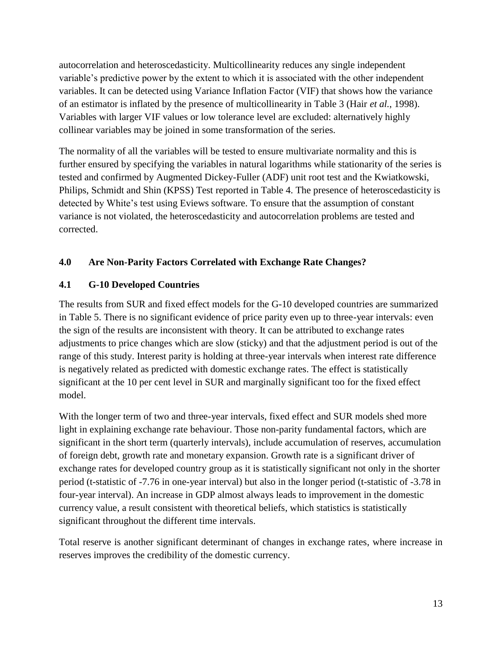autocorrelation and heteroscedasticity. Multicollinearity reduces any single independent variable's predictive power by the extent to which it is associated with the other independent variables. It can be detected using Variance Inflation Factor (VIF) that shows how the variance of an estimator is inflated by the presence of multicollinearity in Table 3 (Hair *et al.*, 1998). Variables with larger VIF values or low tolerance level are excluded: alternatively highly collinear variables may be joined in some transformation of the series.

The normality of all the variables will be tested to ensure multivariate normality and this is further ensured by specifying the variables in natural logarithms while stationarity of the series is tested and confirmed by Augmented Dickey-Fuller (ADF) unit root test and the Kwiatkowski, Philips, Schmidt and Shin (KPSS) Test reported in Table 4. The presence of heteroscedasticity is detected by White's test using Eviews software. To ensure that the assumption of constant variance is not violated, the heteroscedasticity and autocorrelation problems are tested and corrected.

# **4.0 Are Non-Parity Factors Correlated with Exchange Rate Changes?**

# **4.1 G-10 Developed Countries**

The results from SUR and fixed effect models for the G-10 developed countries are summarized in Table 5. There is no significant evidence of price parity even up to three-year intervals: even the sign of the results are inconsistent with theory. It can be attributed to exchange rates adjustments to price changes which are slow (sticky) and that the adjustment period is out of the range of this study. Interest parity is holding at three-year intervals when interest rate difference is negatively related as predicted with domestic exchange rates. The effect is statistically significant at the 10 per cent level in SUR and marginally significant too for the fixed effect model.

With the longer term of two and three-year intervals, fixed effect and SUR models shed more light in explaining exchange rate behaviour. Those non-parity fundamental factors, which are significant in the short term (quarterly intervals), include accumulation of reserves, accumulation of foreign debt, growth rate and monetary expansion. Growth rate is a significant driver of exchange rates for developed country group as it is statistically significant not only in the shorter period (t-statistic of -7.76 in one-year interval) but also in the longer period (t-statistic of -3.78 in four-year interval). An increase in GDP almost always leads to improvement in the domestic currency value, a result consistent with theoretical beliefs, which statistics is statistically significant throughout the different time intervals.

Total reserve is another significant determinant of changes in exchange rates, where increase in reserves improves the credibility of the domestic currency.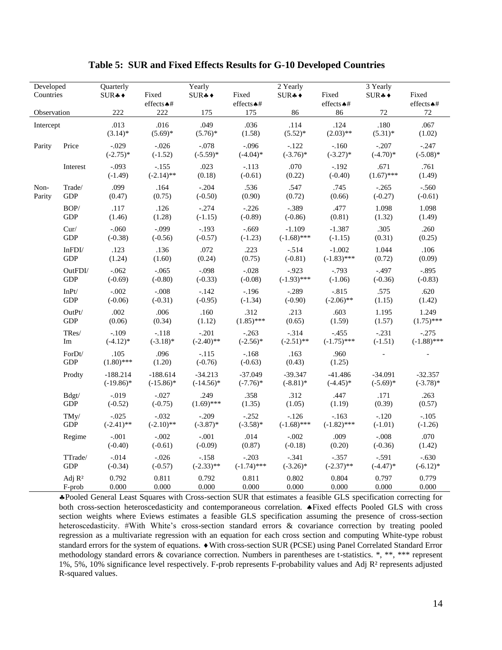| Developed<br>Countries |                       | Quarterly<br>$SUR + \bullet$ | Fixed                      | Yearly<br>$SUR + \bullet$ | Fixed                    | 2 Yearly<br>$\text{SUR}$ * | Fixed                    | 3 Yearly<br>$\text{SUR}$ * | Fixed                    |
|------------------------|-----------------------|------------------------------|----------------------------|---------------------------|--------------------------|----------------------------|--------------------------|----------------------------|--------------------------|
|                        |                       |                              | effects < +                |                           | effects < <del>↑</del> # |                            | effects < #              |                            | effects $\clubsuit\#$    |
| Observation            |                       | 222                          | 222                        | 175                       | 175                      | 86                         | 86                       | $72\,$                     | $72\,$                   |
| Intercept              |                       | .013                         | .016                       | .049                      | .036                     | .114                       | .124                     | .180                       | .067                     |
|                        |                       | $(3.14)$ *                   | $(5.69)*$                  | $(5.76)^*$                | (1.58)                   | $(5.52)^*$                 | $(2.03)$ **              | $(5.31)^*$                 | (1.02)                   |
| Parity                 | Price                 | $-.029$<br>$(-2.75)*$        | $-.026$<br>$(-1.52)$       | $-.078$<br>$(-5.59)$ *    | $-.096$<br>$(-4.04)*$    | $-122$<br>$(-3.76)$ *      | $-.160$<br>$(-3.27)$ *   | $-.207$<br>$(-4.70)*$      | $-.247$<br>$(-5.08)$ *   |
|                        | Interest              | $-.093$<br>$(-1.49)$         | $-.155$<br>$(-2.14)$ **    | .023<br>(0.18)            | $-.113$<br>$(-0.61)$     | .070<br>(0.22)             | $-.192$<br>$(-0.40)$     | .671<br>$(1.67)$ ***       | .761<br>(1.49)           |
| Non-                   | Trade/                | .099                         | .164                       | $-.204$                   | .536                     | .547                       | .745                     | $-.265$                    | $-.560$                  |
| Parity                 | <b>GDP</b>            | (0.47)                       | (0.75)                     | $(-0.50)$                 | (0.90)                   | (0.72)                     | (0.66)                   | $(-0.27)$                  | $(-0.61)$                |
|                        | $\mathbf{BOP}/$       | .117                         | .126                       | $-.274$                   | $-.226$                  | $-.389$                    | .477                     | 1.098                      | 1.098                    |
|                        | GDP                   | (1.46)                       | (1.28)                     | $(-1.15)$                 | $(-0.89)$                | $(-0.86)$                  | (0.81)                   | (1.32)                     | (1.49)                   |
|                        | Cur/                  | $-.060$                      | $-.099$                    | $-.193$                   | $-.669$                  | $-1.109$                   | $-1.387$                 | .305                       | .260                     |
|                        | <b>GDP</b>            | $(-0.38)$                    | $(-0.56)$                  | $(-0.57)$                 | $(-1.23)$                | $(-1.68)$ ***              | $(-1.15)$                | (0.31)                     | (0.25)                   |
|                        | $In {\bf FDI} /$      | .123                         | .136                       | .072                      | .223                     | $-.514$                    | $-1.002$                 | 1.044                      | .106                     |
|                        | <b>GDP</b>            | (1.24)                       | (1.60)                     | (0.24)                    | (0.75)                   | $(-0.81)$                  | $(-1.83)$ ***            | (0.72)                     | (0.09)                   |
|                        | OutFDI/               | $-.062$                      | $-.065$                    | $-.098$                   | $-.028$                  | $-0.923$                   | $-.793$                  | $-.497$                    | $-.895$                  |
|                        | <b>GDP</b>            | $(-0.69)$                    | $(-0.80)$                  | $(-0.33)$                 | $(-0.08)$                | $(-1.93)$ ***              | $(-1.06)$                | $(-0.36)$                  | $(-0.83)$                |
|                        | ${\rm InPt}$          | $-.002$                      | $-.008$                    | $-.142$                   | $-.196$                  | $-.289$                    | $-.815$                  | .575                       | .620                     |
|                        | <b>GDP</b>            | $(-0.06)$                    | $(-0.31)$                  | $(-0.95)$                 | $(-1.34)$                | $(-0.90)$                  | $(-2.06)$ **             | (1.15)                     | (1.42)                   |
|                        | OutPt/                | .002                         | .006                       | .160                      | .312                     | .213                       | .603                     | 1.195                      | 1.249                    |
|                        | GDP                   | (0.06)                       | (0.34)                     | (1.12)                    | $(1.85)$ ***             | (0.65)                     | (1.59)                   | (1.57)                     | $(1.75)$ ***             |
|                        | $\mbox{TRes}/\mbox{}$ | $-.109$                      | $-.118$                    | $-.201$                   | $-.263$                  | $-.314$                    | $-455$                   | $-.231$                    | $-.275$                  |
|                        | Im                    | $(-4.12)*$                   | $(-3.18)$ *                | $(-2.40)$ **              | $(-2.56)$ *              | $(-2.51)$ **               | $(-1.75)$ ***            | $(-1.51)$                  | $(-1.88)$ ***            |
|                        | ForDt/<br><b>GDP</b>  | .105<br>$(1.80)$ ***         | .096<br>(1.20)             | $-.115$<br>$(-0.76)$      | $-.168$<br>$(-0.63)$     | .163<br>(0.43)             | .960<br>(1.25)           |                            |                          |
|                        | Prodty                | $-188.214$<br>$(-19.86)$ *   | $-188.614$<br>$(-15.86)^*$ | $-34.213$<br>$(-14.56)*$  | $-37.049$<br>$(-7.76)$ * | $-39.347$<br>$(-8.81)$ *   | $-41.486$<br>$(-4.45)$ * | $-34.091$<br>$(-5.69)$ *   | $-32.357$<br>$(-3.78)$ * |
|                        | Bdgt/                 | $-.019$                      | $-.027$                    | .249                      | .358                     | .312                       | .447                     | .171                       | .263                     |
|                        | GDP                   | $(-0.52)$                    | $(-0.75)$                  | $(1.69)$ ***              | (1.35)                   | (1.05)                     | (1.19)                   | (0.39)                     | (0.57)                   |
|                        | TMy/                  | $-.025$                      | $-.032$                    | $-.209$                   | $-.252$                  | $-.126$                    | $-.163$                  | $-.120$                    | $-.105$                  |
|                        | <b>GDP</b>            | $(-2.41)$ **                 | $(-2.10)$ **               | $(-3.87)$ *               | $(-3.58)*$               | $(-1.68)$ ***              | $(-1.82)$ ***            | $(-1.01)$                  | $(-1.26)$                |
|                        | Regime                | $-.001$<br>$(-0.40)$         | $-.002$<br>$(-0.61)$       | $-.001$<br>$(-0.09)$      | .014<br>(0.87)           | $-.002$<br>$(-0.18)$       | .009<br>(0.20)           | $-.008$<br>$(-0.36)$       | .070<br>(1.42)           |
|                        | TTrade/               | $-.014$                      | $-.026$                    | $-.158$                   | $-.203$                  | $-.341$                    | $-.357$                  | $-.591$                    | $-.630$                  |
|                        | <b>GDP</b>            | $(-0.34)$                    | $(-0.57)$                  | $(-2.33)$ **              | $(-1.74)$ ***            | $(-3.26)$ *                | $(-2.37)$ **             | $(-4.47)$ *                | $(-6.12)*$               |
|                        | Adj R <sup>2</sup>    | 0.792                        | 0.811                      | 0.792                     | 0.811                    | 0.802                      | 0.804                    | 0.797                      | 0.779                    |
|                        | F-prob                | 0.000                        | 0.000                      | 0.000                     | 0.000                    | 0.000                      | 0.000                    | 0.000                      | 0.000                    |

#### **Table 5: SUR and Fixed Effects Results for G-10 Developed Countries**

Pooled General Least Squares with Cross-section SUR that estimates a feasible GLS specification correcting for both cross-section heteroscedasticity and contemporaneous correlation.  $\triangle$  Fixed effects Pooled GLS with cross section weights where Eviews estimates a feasible GLS specification assuming the presence of cross-section heteroscedasticity. #With White's cross-section standard errors & covariance correction by treating pooled regression as a multivariate regression with an equation for each cross section and computing White-type robust standard errors for the system of equations.  $\bullet$  With cross-section SUR (PCSE) using Panel Correlated Standard Error methodology standard errors & covariance correction. Numbers in parentheses are t-statistics. \*, \*\*, \*\*\* represent 1%, 5%, 10% significance level respectively. F-prob represents F-probability values and Adj R² represents adjusted R-squared values.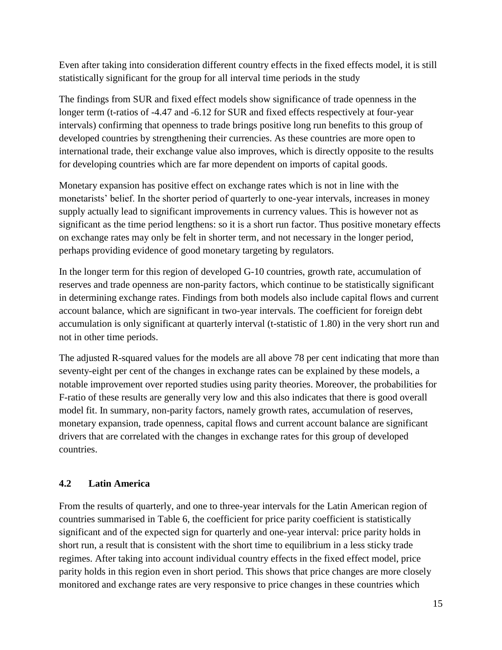Even after taking into consideration different country effects in the fixed effects model, it is still statistically significant for the group for all interval time periods in the study

The findings from SUR and fixed effect models show significance of trade openness in the longer term (t-ratios of -4.47 and -6.12 for SUR and fixed effects respectively at four-year intervals) confirming that openness to trade brings positive long run benefits to this group of developed countries by strengthening their currencies. As these countries are more open to international trade, their exchange value also improves, which is directly opposite to the results for developing countries which are far more dependent on imports of capital goods.

Monetary expansion has positive effect on exchange rates which is not in line with the monetarists' belief. In the shorter period of quarterly to one-year intervals, increases in money supply actually lead to significant improvements in currency values. This is however not as significant as the time period lengthens: so it is a short run factor. Thus positive monetary effects on exchange rates may only be felt in shorter term, and not necessary in the longer period, perhaps providing evidence of good monetary targeting by regulators.

In the longer term for this region of developed G-10 countries, growth rate, accumulation of reserves and trade openness are non-parity factors, which continue to be statistically significant in determining exchange rates. Findings from both models also include capital flows and current account balance, which are significant in two-year intervals. The coefficient for foreign debt accumulation is only significant at quarterly interval (t-statistic of 1.80) in the very short run and not in other time periods.

The adjusted R-squared values for the models are all above 78 per cent indicating that more than seventy-eight per cent of the changes in exchange rates can be explained by these models, a notable improvement over reported studies using parity theories. Moreover, the probabilities for F-ratio of these results are generally very low and this also indicates that there is good overall model fit. In summary, non-parity factors, namely growth rates, accumulation of reserves, monetary expansion, trade openness, capital flows and current account balance are significant drivers that are correlated with the changes in exchange rates for this group of developed countries.

# **4.2 Latin America**

From the results of quarterly, and one to three-year intervals for the Latin American region of countries summarised in Table 6, the coefficient for price parity coefficient is statistically significant and of the expected sign for quarterly and one-year interval: price parity holds in short run, a result that is consistent with the short time to equilibrium in a less sticky trade regimes. After taking into account individual country effects in the fixed effect model, price parity holds in this region even in short period. This shows that price changes are more closely monitored and exchange rates are very responsive to price changes in these countries which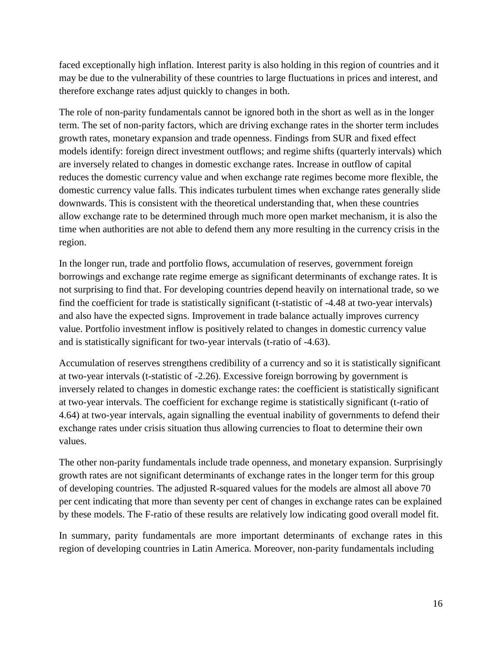faced exceptionally high inflation. Interest parity is also holding in this region of countries and it may be due to the vulnerability of these countries to large fluctuations in prices and interest, and therefore exchange rates adjust quickly to changes in both.

The role of non-parity fundamentals cannot be ignored both in the short as well as in the longer term. The set of non-parity factors, which are driving exchange rates in the shorter term includes growth rates, monetary expansion and trade openness. Findings from SUR and fixed effect models identify: foreign direct investment outflows; and regime shifts (quarterly intervals) which are inversely related to changes in domestic exchange rates. Increase in outflow of capital reduces the domestic currency value and when exchange rate regimes become more flexible, the domestic currency value falls. This indicates turbulent times when exchange rates generally slide downwards. This is consistent with the theoretical understanding that, when these countries allow exchange rate to be determined through much more open market mechanism, it is also the time when authorities are not able to defend them any more resulting in the currency crisis in the region.

In the longer run, trade and portfolio flows, accumulation of reserves, government foreign borrowings and exchange rate regime emerge as significant determinants of exchange rates. It is not surprising to find that. For developing countries depend heavily on international trade, so we find the coefficient for trade is statistically significant (t-statistic of -4.48 at two-year intervals) and also have the expected signs. Improvement in trade balance actually improves currency value. Portfolio investment inflow is positively related to changes in domestic currency value and is statistically significant for two-year intervals (t-ratio of -4.63).

Accumulation of reserves strengthens credibility of a currency and so it is statistically significant at two-year intervals (t-statistic of -2.26). Excessive foreign borrowing by government is inversely related to changes in domestic exchange rates: the coefficient is statistically significant at two-year intervals. The coefficient for exchange regime is statistically significant (t-ratio of 4.64) at two-year intervals, again signalling the eventual inability of governments to defend their exchange rates under crisis situation thus allowing currencies to float to determine their own values.

The other non-parity fundamentals include trade openness, and monetary expansion. Surprisingly growth rates are not significant determinants of exchange rates in the longer term for this group of developing countries. The adjusted R-squared values for the models are almost all above 70 per cent indicating that more than seventy per cent of changes in exchange rates can be explained by these models. The F-ratio of these results are relatively low indicating good overall model fit.

In summary, parity fundamentals are more important determinants of exchange rates in this region of developing countries in Latin America. Moreover, non-parity fundamentals including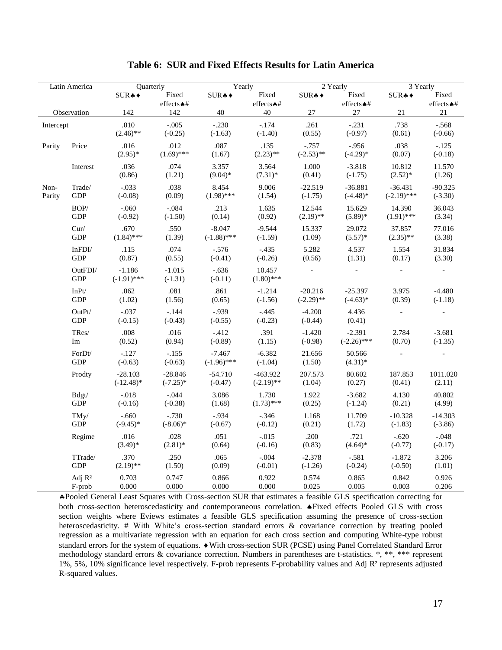| Latin America  |                              | <b>Ouarterly</b>          |                          | Yearly                    |                            | 2 Yearly                  |                           | $\overline{3}$ Yearly      |                        |
|----------------|------------------------------|---------------------------|--------------------------|---------------------------|----------------------------|---------------------------|---------------------------|----------------------------|------------------------|
|                |                              | $SUR + \bullet$           | Fixed                    | SUR <sub>*</sub>          | Fixed                      | $SUR + \bullet$           | Fixed                     | $SUR + \bullet$            | Fixed                  |
|                |                              |                           | effects $\triangle$ #    |                           | effects $\triangle$ #      |                           | effects $\triangle$ #     |                            | effects $\triangle$ #  |
| Observation    |                              | 142                       | 142                      | 40                        | 40                         | 27                        | $27\,$                    | 21                         | $21\,$                 |
| Intercept      |                              | .010<br>$(2.46)$ **       | $-.005$<br>$(-0.25)$     | $-.230$<br>$(-1.63)$      | $-.174$<br>$(-1.40)$       | .261<br>(0.55)            | $-.231$<br>$(-0.97)$      | .738<br>(0.61)             | $-.568$<br>$(-0.66)$   |
| Parity         | Price                        | .016<br>$(2.95)^*$        | .012<br>$(1.69)$ ***     | .087<br>(1.67)            | .135<br>$(2.23)$ **        | $-.757$<br>$(-2.53)$ **   | $-.956$<br>$(-4.29)$ *    | .038<br>(0.07)             | $-.125$<br>$(-0.18)$   |
|                | Interest                     | .036<br>(0.86)            | .074<br>(1.21)           | 3.357<br>$(9.04)*$        | 3.564<br>$(7.31)$ *        | 1.000<br>(0.41)           | $-3.818$<br>$(-1.75)$     | 10.812<br>$(2.52)^*$       | 11.570<br>(1.26)       |
| Non-<br>Parity | Trade/<br><b>GDP</b>         | $-.033$<br>$(-0.08)$      | .038<br>(0.09)           | 8.454<br>$(1.98)$ ***     | 9.006<br>(1.54)            | $-22.519$<br>$(-1.75)$    | $-36.881$<br>$(-4.48)$ *  | $-36.431$<br>$(-2.19)$ *** | $-90.325$<br>$(-3.30)$ |
|                | BOP/<br><b>GDP</b>           | $-.060$<br>$(-0.92)$      | $-.084$<br>$(-1.50)$     | .213<br>(0.14)            | 1.635<br>(0.92)            | 12.544<br>$(2.19)$ **     | 15.629<br>$(5.89)*$       | 14.390<br>$(1.91)$ ***     | 36.043<br>(3.34)       |
|                | Cur/<br><b>GDP</b>           | .670<br>$(1.84)$ ***      | .550<br>(1.39)           | $-8.047$<br>$(-1.88)$ *** | $-9.544$<br>$(-1.59)$      | 15.337<br>(1.09)          | 29.072<br>$(5.57)*$       | 37.857<br>$(2.35)$ **      | 77.016<br>(3.38)       |
|                | InFDI/<br><b>GDP</b>         | .115<br>(0.87)            | .074<br>(0.55)           | $-.576$<br>$(-0.41)$      | $-.435$<br>$(-0.26)$       | 5.282<br>(0.56)           | 4.537<br>(1.31)           | 1.554<br>(0.17)            | 31.834<br>(3.30)       |
|                | OutFDI/<br><b>GDP</b>        | $-1.186$<br>$(-1.91)$ *** | $-1.015$<br>$(-1.31)$    | $-.636$<br>$(-0.11)$      | 10.457<br>$(1.80)$ ***     |                           |                           |                            |                        |
|                | $InPt/$<br><b>GDP</b>        | .062<br>(1.02)            | .081<br>(1.56)           | .861<br>(0.65)            | $-1.214$<br>$(-1.56)$      | $-20.216$<br>$(-2.29)$ ** | $-25.397$<br>$(-4.63)*$   | 3.975<br>(0.39)            | $-4.480$<br>$(-1.18)$  |
|                | OutPt/<br><b>GDP</b>         | $-.037$<br>$(-0.15)$      | $-.144$<br>$(-0.43)$     | $-0.939$<br>$(-0.55)$     | $-.445$<br>$(-0.23)$       | $-4.200$<br>$(-0.44)$     | 4.436<br>(0.41)           |                            |                        |
|                | TRes/<br>Im                  | .008<br>(0.52)            | .016<br>(0.94)           | $-.412$<br>$(-0.89)$      | .391<br>(1.15)             | $-1.420$<br>$(-0.98)$     | $-2.391$<br>$(-2.26)$ *** | 2.784<br>(0.70)            | $-3.681$<br>$(-1.35)$  |
|                | ForDt/<br><b>GDP</b>         | $-.127$<br>$(-0.63)$      | $-.155$<br>$(-0.63)$     | $-7.467$<br>$(-1.96)$ *** | $-6.382$<br>$(-1.04)$      | 21.656<br>(1.50)          | 50.566<br>$(4.31)*$       |                            |                        |
|                | Prodty                       | $-28.103$<br>$(-12.48)$ * | $-28.846$<br>$(-7.25)$ * | $-54.710$<br>$(-0.47)$    | $-463.922$<br>$(-2.19)$ ** | 207.573<br>(1.04)         | 80.602<br>(0.27)          | 187.853<br>(0.41)          | 1011.020<br>(2.11)     |
|                | Bdgt/<br><b>GDP</b>          | $-.018$<br>$(-0.16)$      | $-0.044$<br>$(-0.38)$    | 3.086<br>(1.68)           | 1.730<br>$(1.73)$ ***      | 1.922<br>(0.25)           | $-3.682$<br>$(-1.24)$     | 4.130<br>(0.21)            | 40.802<br>(4.99)       |
|                | TMy/<br><b>GDP</b>           | $-.660$<br>$(-9.45)$ *    | $-0.730$<br>$(-8.06)$ *  | $-.934$<br>$(-0.67)$      | $-.346$<br>$(-0.12)$       | 1.168<br>(0.21)           | 11.709<br>(1.72)          | $-10.328$<br>$(-1.83)$     | $-14.303$<br>$(-3.86)$ |
|                | Regime                       | .016<br>$(3.49)*$         | .028<br>$(2.81)$ *       | .051<br>(0.64)            | $-.015$<br>$(-0.16)$       | .200<br>(0.83)            | .721<br>$(4.64)$ *        | $-.620$<br>$(-0.77)$       | $-.048$<br>$(-0.17)$   |
|                | TTrade/<br>GDP               | .370<br>$(2.19)$ **       | .250<br>(1.50)           | .065<br>(0.09)            | $-.004$<br>$(-0.01)$       | $-2.378$<br>$(-1.26)$     | $-.581$<br>$(-0.24)$      | $-1.872$<br>$(-0.50)$      | 3.206<br>(1.01)        |
|                | Adj R <sup>2</sup><br>F-prob | 0.703<br>0.000            | 0.747<br>0.000           | 0.866<br>0.000            | 0.922<br>0.000             | 0.574<br>0.025            | 0.865<br>0.005            | 0.842<br>0.003             | 0.926<br>0.206         |

**Table 6: SUR and Fixed Effects Results for Latin America**

Pooled General Least Squares with Cross-section SUR that estimates a feasible GLS specification correcting for both cross-section heteroscedasticity and contemporaneous correlation.  $\triangle$  Fixed effects Pooled GLS with cross section weights where Eviews estimates a feasible GLS specification assuming the presence of cross-section heteroscedasticity. # With White's cross-section standard errors & covariance correction by treating pooled regression as a multivariate regression with an equation for each cross section and computing White-type robust standard errors for the system of equations.  $\bullet$  With cross-section SUR (PCSE) using Panel Correlated Standard Error methodology standard errors & covariance correction. Numbers in parentheses are t-statistics. \*, \*\*, \*\*\* represent 1%, 5%, 10% significance level respectively. F-prob represents F-probability values and Adj R² represents adjusted R-squared values.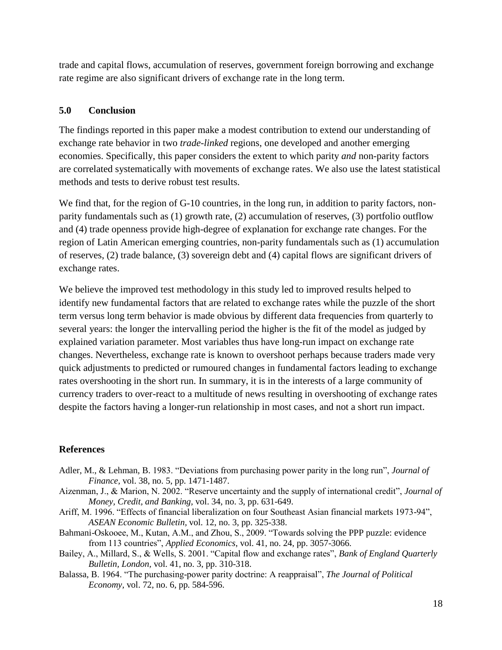trade and capital flows, accumulation of reserves, government foreign borrowing and exchange rate regime are also significant drivers of exchange rate in the long term.

## **5.0 Conclusion**

The findings reported in this paper make a modest contribution to extend our understanding of exchange rate behavior in two *trade-linked* regions, one developed and another emerging economies. Specifically, this paper considers the extent to which parity *and* non-parity factors are correlated systematically with movements of exchange rates. We also use the latest statistical methods and tests to derive robust test results.

We find that, for the region of G-10 countries, in the long run, in addition to parity factors, nonparity fundamentals such as (1) growth rate, (2) accumulation of reserves, (3) portfolio outflow and (4) trade openness provide high-degree of explanation for exchange rate changes. For the region of Latin American emerging countries, non-parity fundamentals such as (1) accumulation of reserves, (2) trade balance, (3) sovereign debt and (4) capital flows are significant drivers of exchange rates.

We believe the improved test methodology in this study led to improved results helped to identify new fundamental factors that are related to exchange rates while the puzzle of the short term versus long term behavior is made obvious by different data frequencies from quarterly to several years: the longer the intervalling period the higher is the fit of the model as judged by explained variation parameter. Most variables thus have long-run impact on exchange rate changes. Nevertheless, exchange rate is known to overshoot perhaps because traders made very quick adjustments to predicted or rumoured changes in fundamental factors leading to exchange rates overshooting in the short run. In summary, it is in the interests of a large community of currency traders to over-react to a multitude of news resulting in overshooting of exchange rates despite the factors having a longer-run relationship in most cases, and not a short run impact.

## **References**

- Adler, M., & Lehman, B. 1983. "Deviations from purchasing power parity in the long run", *Journal of Finance,* vol. 38, no. 5, pp. 1471-1487.
- Aizenman, J., & Marion, N. 2002. "Reserve uncertainty and the supply of international credit", *Journal of Money, Credit, and Banking,* vol. 34, no. 3, pp. 631-649.
- Ariff, M. 1996. "Effects of financial liberalization on four Southeast Asian financial markets 1973-94", *ASEAN Economic Bulletin,* vol. 12, no. 3, pp. 325-338.
- Bahmani-Oskooee, M., Kutan, A.M., and Zhou, S., 2009. "Towards solving the PPP puzzle: evidence from 113 countries", *Applied Economics*, vol. 41, no. 24, pp. 3057-3066.
- Bailey, A., Millard, S., & Wells, S. 2001. "Capital flow and exchange rates", *Bank of England Quarterly Bulletin, London,* vol. 41, no. 3, pp. 310-318.
- Balassa, B. 1964. "The purchasing-power parity doctrine: A reappraisal", *The Journal of Political Economy,* vol. 72, no. 6, pp. 584-596.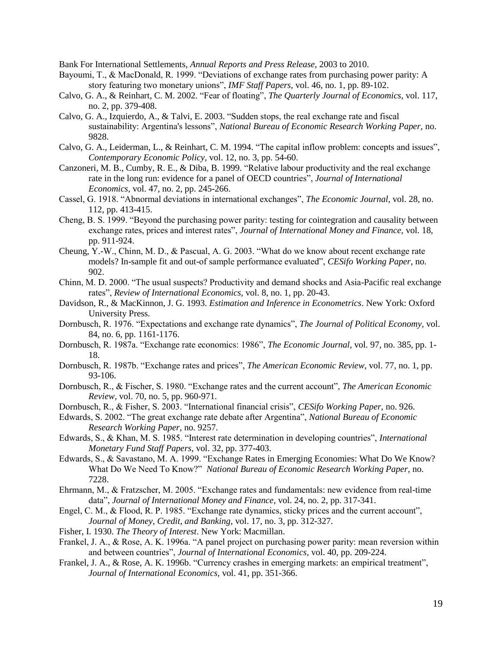Bank For International Settlements, *Annual Reports and Press Release*, 2003 to 2010.

- Bayoumi, T., & MacDonald, R. 1999. "Deviations of exchange rates from purchasing power parity: A story featuring two monetary unions", *IMF Staff Papers,* vol. 46, no. 1, pp. 89-102.
- Calvo, G. A., & Reinhart, C. M. 2002. "Fear of floating", *The Quarterly Journal of Economics,* vol. 117, no. 2, pp. 379-408.
- Calvo, G. A., Izquierdo, A., & Talvi, E. 2003. "Sudden stops, the real exchange rate and fiscal sustainability: Argentina's lessons", *National Bureau of Economic Research Working Paper,* no. 9828.
- Calvo, G. A., Leiderman, L., & Reinhart, C. M. 1994. "The capital inflow problem: concepts and issues", *Contemporary Economic Policy,* vol. 12, no. 3, pp. 54-60.
- Canzoneri, M. B., Cumby, R. E., & Diba, B. 1999. "Relative labour productivity and the real exchange rate in the long run: evidence for a panel of OECD countries", *Journal of International Economics,* vol. 47, no. 2, pp. 245-266.
- Cassel, G. 1918. "Abnormal deviations in international exchanges", *The Economic Journal,* vol. 28, no. 112, pp. 413-415.
- Cheng, B. S. 1999. "Beyond the purchasing power parity: testing for cointegration and causality between exchange rates, prices and interest rates", *Journal of International Money and Finance,* vol. 18, pp. 911-924.
- Cheung, Y.-W., Chinn, M. D., & Pascual, A. G. 2003. "What do we know about recent exchange rate models? In-sample fit and out-of sample performance evaluated", *CESifo Working Paper,* no. 902.
- Chinn, M. D. 2000. "The usual suspects? Productivity and demand shocks and Asia-Pacific real exchange rates", *Review of International Economics,* vol. 8, no. 1, pp. 20-43.
- Davidson, R., & MacKinnon, J. G. 1993. *Estimation and Inference in Econometrics*. New York: Oxford University Press.
- Dornbusch, R. 1976. "Expectations and exchange rate dynamics", *The Journal of Political Economy,* vol. 84, no. 6, pp. 1161-1176.
- Dornbusch, R. 1987a. "Exchange rate economics: 1986", *The Economic Journal,* vol. 97, no. 385, pp. 1- 18.
- Dornbusch, R. 1987b. "Exchange rates and prices", *The American Economic Review,* vol. 77, no. 1, pp. 93-106.
- Dornbusch, R., & Fischer, S. 1980. "Exchange rates and the current account", *The American Economic Review,* vol. 70, no. 5, pp. 960-971.
- Dornbusch, R., & Fisher, S. 2003. "International financial crisis", *CESifo Working Paper,* no. 926.
- Edwards, S. 2002. "The great exchange rate debate after Argentina", *National Bureau of Economic Research Working Paper,* no. 9257.
- Edwards, S., & Khan, M. S. 1985. "Interest rate determination in developing countries", *International Monetary Fund Staff Papers,* vol. 32, pp. 377-403.
- Edwards, S., & Savastano, M. A. 1999. "Exchange Rates in Emerging Economies: What Do We Know? What Do We Need To Know?" *National Bureau of Economic Research Working Paper*, no. 7228.
- Ehrmann, M., & Fratzscher, M. 2005. "Exchange rates and fundamentals: new evidence from real-time data", *Journal of International Money and Finance,* vol. 24, no. 2, pp. 317-341.
- Engel, C. M., & Flood, R. P. 1985. "Exchange rate dynamics, sticky prices and the current account", *Journal of Money, Credit, and Banking,* vol. 17, no. 3, pp. 312-327.
- Fisher, I. 1930. *The Theory of Interest*. New York: Macmillan.
- Frankel, J. A., & Rose, A. K. 1996a. "A panel project on purchasing power parity: mean reversion within and between countries", *Journal of International Economics,* vol. 40, pp. 209-224.
- Frankel, J. A., & Rose, A. K. 1996b. "Currency crashes in emerging markets: an empirical treatment", *Journal of International Economics,* vol. 41, pp. 351-366.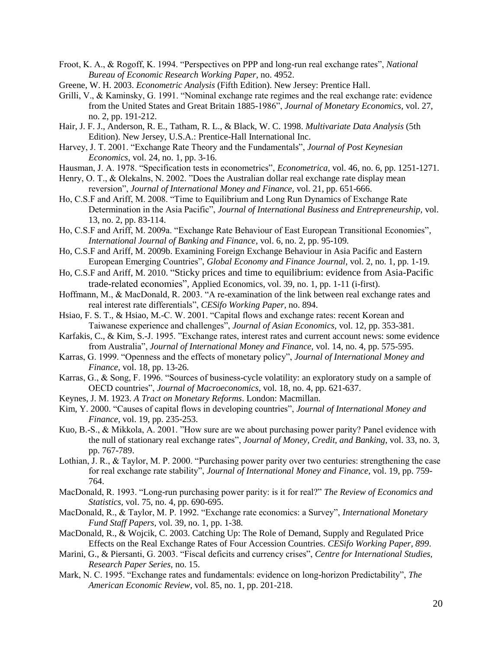Froot, K. A., & Rogoff, K. 1994. "Perspectives on PPP and long-run real exchange rates", *National Bureau of Economic Research Working Paper,* no. 4952.

- Greene, W. H. 2003. *Econometric Analysis* (Fifth Edition). New Jersey: Prentice Hall.
- Grilli, V., & Kaminsky, G. 1991. "Nominal exchange rate regimes and the real exchange rate: evidence from the United States and Great Britain 1885-1986", *Journal of Monetary Economics,* vol. 27, no. 2, pp. 191-212.
- Hair, J. F. J., Anderson, R. E., Tatham, R. L., & Black, W. C. 1998. *Multivariate Data Analysis* (5th Edition). New Jersey, U.S.A.: Prentice-Hall International Inc.
- Harvey, J. T. 2001. "Exchange Rate Theory and the Fundamentals", *Journal of Post Keynesian Economics*, vol. 24, no. 1, pp. 3-16.
- Hausman, J. A. 1978. "Specification tests in econometrics", *Econometrica,* vol. 46, no. 6, pp. 1251-1271.
- Henry, O. T., & Olekalns, N. 2002. "Does the Australian dollar real exchange rate display mean reversion", *Journal of International Money and Finance,* vol. 21, pp. 651-666.
- Ho, C.S.F and Ariff, M. 2008. "Time to Equilibrium and Long Run Dynamics of Exchange Rate Determination in the Asia Pacific", *Journal of International Business and Entrepreneurship,* vol. 13, no. 2, pp. 83-114.
- Ho, C.S.F and Ariff, M. 2009a. "Exchange Rate Behaviour of East European Transitional Economies"*, International Journal of Banking and Finance*, vol. 6, no. 2, pp. 95-109*.*
- Ho, C.S.F and Ariff, M. 2009b. Examining Foreign Exchange Behaviour in Asia Pacific and Eastern European Emerging Countries", *Global Economy and Finance Journal*, vol. 2, no. 1, pp. 1-19*.*
- Ho, C.S.F and Ariff, M. 2010. "Sticky prices and time to equilibrium: evidence from Asia-Pacific trade-related economies", Applied Economics, vol. 39, no. 1, pp. 1-11 (i-first)*.*
- Hoffmann, M., & MacDonald, R. 2003. "A re-examination of the link between real exchange rates and real interest rate differentials", *CESifo Working Paper,* no. 894.
- Hsiao, F. S. T., & Hsiao, M.-C. W. 2001. "Capital flows and exchange rates: recent Korean and Taiwanese experience and challenges", *Journal of Asian Economics,* vol. 12, pp. 353-381.
- Karfakis, C., & Kim, S.-J. 1995. "Exchange rates, interest rates and current account news: some evidence from Australia", *Journal of International Money and Finance,* vol. 14, no. 4, pp. 575-595.
- Karras, G. 1999. "Openness and the effects of monetary policy", *Journal of International Money and Finance,* vol. 18, pp. 13-26.
- Karras, G., & Song, F. 1996. "Sources of business-cycle volatility: an exploratory study on a sample of OECD countries", *Journal of Macroeconomics,* vol. 18, no. 4, pp. 621-637.
- Keynes, J. M. 1923. *A Tract on Monetary Reforms*. London: Macmillan.
- Kim, Y. 2000. "Causes of capital flows in developing countries", *Journal of International Money and Finance,* vol. 19, pp. 235-253.
- Kuo, B.-S., & Mikkola, A. 2001. "How sure are we about purchasing power parity? Panel evidence with the null of stationary real exchange rates", *Journal of Money, Credit, and Banking,* vol. 33, no. 3, pp. 767-789.
- Lothian, J. R., & Taylor, M. P. 2000. "Purchasing power parity over two centuries: strengthening the case for real exchange rate stability", *Journal of International Money and Finance,* vol. 19, pp. 759- 764.
- MacDonald, R. 1993. "Long-run purchasing power parity: is it for real?" *The Review of Economics and Statistics,* vol. 75, no. 4, pp. 690-695.
- MacDonald, R., & Taylor, M. P. 1992. "Exchange rate economics: a Survey", *International Monetary Fund Staff Papers,* vol. 39, no. 1, pp. 1-38.
- MacDonald, R., & Wojcik, C. 2003. Catching Up: The Role of Demand, Supply and Regulated Price Effects on the Real Exchange Rates of Four Accession Countries. *CESifo Working Paper, 899*.
- Marini, G., & Piersanti, G. 2003. "Fiscal deficits and currency crises", *Centre for International Studies, Research Paper Series,* no. 15.
- Mark, N. C. 1995. "Exchange rates and fundamentals: evidence on long-horizon Predictability", *The American Economic Review,* vol. 85, no. 1, pp. 201-218.